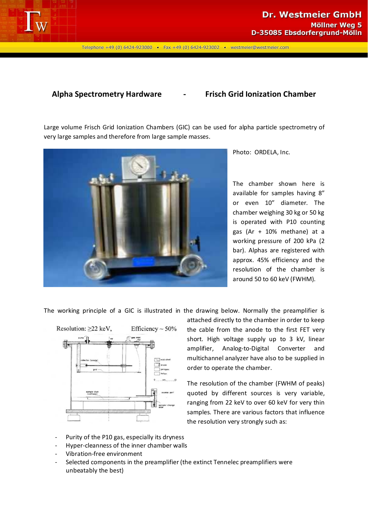

Telephone +49 (0) 6424-923000 • Fax +49 (0) 6424-923002 • westmeier@westmeier.com

## **Alpha Spectrometry Hardware - Frisch Grid Ionization Chamber**

Large volume Frisch Grid Ionization Chambers (GIC) can be used for alpha particle spectrometry of very large samples and therefore from large sample masses.



Photo: ORDELA, Inc.

The chamber shown here is available for samples having 8" or even 10" diameter. The chamber weighing 30 kg or 50 kg is operated with P10 counting gas (Ar + 10% methane) at a working pressure of 200 kPa (2 bar). Alphas are registered with approx. 45% efficiency and the resolution of the chamber is around 50 to 60 keV (FWHM).

The working principle of a GIC is illustrated in the drawing below. Normally the preamplifier is



attached directly to the chamber in order to keep the cable from the anode to the first FET very short. High voltage supply up to 3 kV, linear amplifier, Analog-to-Digital Converter and multichannel analyzer have also to be supplied in order to operate the chamber.

The resolution of the chamber (FWHM of peaks) quoted by different sources is very variable, ranging from 22 keV to over 60 keV for very thin samples. There are various factors that influence the resolution very strongly such as:

- Purity of the P10 gas, especially its dryness
- Hyper-cleanness of the inner chamber walls
- Vibration-free environment
- Selected components in the preamplifier (the extinct Tennelec preamplifiers were unbeatably the best)